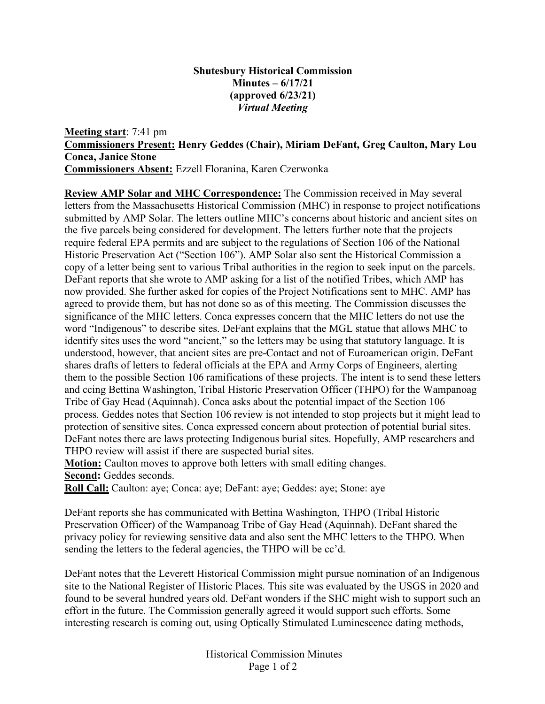## **Shutesbury Historical Commission Minutes – 6/17/21 (approved 6/23/21)** *Virtual Meeting*

**Meeting start**: 7:41 pm **Commissioners Present: Henry Geddes (Chair), Miriam DeFant, Greg Caulton, Mary Lou Conca, Janice Stone Commissioners Absent:** Ezzell Floranina, Karen Czerwonka

**Review AMP Solar and MHC Correspondence:** The Commission received in May several letters from the Massachusetts Historical Commission (MHC) in response to project notifications submitted by AMP Solar. The letters outline MHC's concerns about historic and ancient sites on the five parcels being considered for development. The letters further note that the projects require federal EPA permits and are subject to the regulations of Section 106 of the National Historic Preservation Act ("Section 106"). AMP Solar also sent the Historical Commission a copy of a letter being sent to various Tribal authorities in the region to seek input on the parcels. DeFant reports that she wrote to AMP asking for a list of the notified Tribes, which AMP has now provided. She further asked for copies of the Project Notifications sent to MHC. AMP has agreed to provide them, but has not done so as of this meeting. The Commission discusses the significance of the MHC letters. Conca expresses concern that the MHC letters do not use the word "Indigenous" to describe sites. DeFant explains that the MGL statue that allows MHC to identify sites uses the word "ancient," so the letters may be using that statutory language. It is understood, however, that ancient sites are pre-Contact and not of Euroamerican origin. DeFant shares drafts of letters to federal officials at the EPA and Army Corps of Engineers, alerting them to the possible Section 106 ramifications of these projects. The intent is to send these letters and ccing Bettina Washington, Tribal Historic Preservation Officer (THPO) for the Wampanoag Tribe of Gay Head (Aquinnah). Conca asks about the potential impact of the Section 106 process. Geddes notes that Section 106 review is not intended to stop projects but it might lead to protection of sensitive sites. Conca expressed concern about protection of potential burial sites. DeFant notes there are laws protecting Indigenous burial sites. Hopefully, AMP researchers and THPO review will assist if there are suspected burial sites.

**Motion:** Caulton moves to approve both letters with small editing changes. **Second:** Geddes seconds.

**Roll Call:** Caulton: aye; Conca: aye; DeFant: aye; Geddes: aye; Stone: aye

DeFant reports she has communicated with Bettina Washington, THPO (Tribal Historic Preservation Officer) of the Wampanoag Tribe of Gay Head (Aquinnah). DeFant shared the privacy policy for reviewing sensitive data and also sent the MHC letters to the THPO. When sending the letters to the federal agencies, the THPO will be cc'd.

DeFant notes that the Leverett Historical Commission might pursue nomination of an Indigenous site to the National Register of Historic Places. This site was evaluated by the USGS in 2020 and found to be several hundred years old. DeFant wonders if the SHC might wish to support such an effort in the future. The Commission generally agreed it would support such efforts. Some interesting research is coming out, using Optically Stimulated Luminescence dating methods,

> Historical Commission Minutes Page 1 of 2